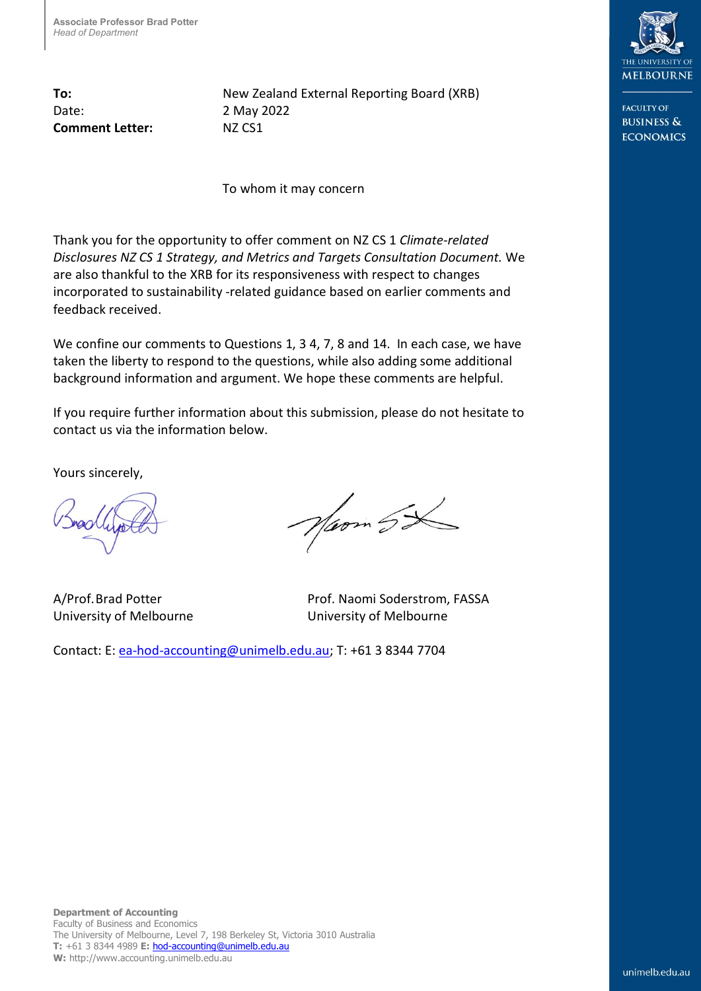Date: 2 May 2022 **Comment Letter:** NZ CS1

**To:** New Zealand External Reporting Board (XRB)

To whom it may concern

Thank you for the opportunity to offer comment on NZ CS 1 *Climate-related Disclosures NZ CS 1 Strategy, and Metrics and Targets Consultation Document.* We are also thankful to the XRB for its responsiveness with respect to changes incorporated to sustainability -related guidance based on earlier comments and feedback received.

We confine our comments to Questions 1, 3 4, 7, 8 and 14. In each case, we have taken the liberty to respond to the questions, while also adding some additional background information and argument. We hope these comments are helpful.

If you require further information about this submission, please do not hesitate to contact us via the information below.

Yours sincerely,

Noom SX

A/Prof. Brad Potter Prof. Naomi Soderstrom, FASSA University of Melbourne University of Melbourne

Contact: E[: ea-hod-accounting@unimelb.edu.au;](mailto:ea-hod-accounting@unimelb.edu.au) T: +61 3 8344 7704



EACHITY OF **BUSINESS & ECONOMICS**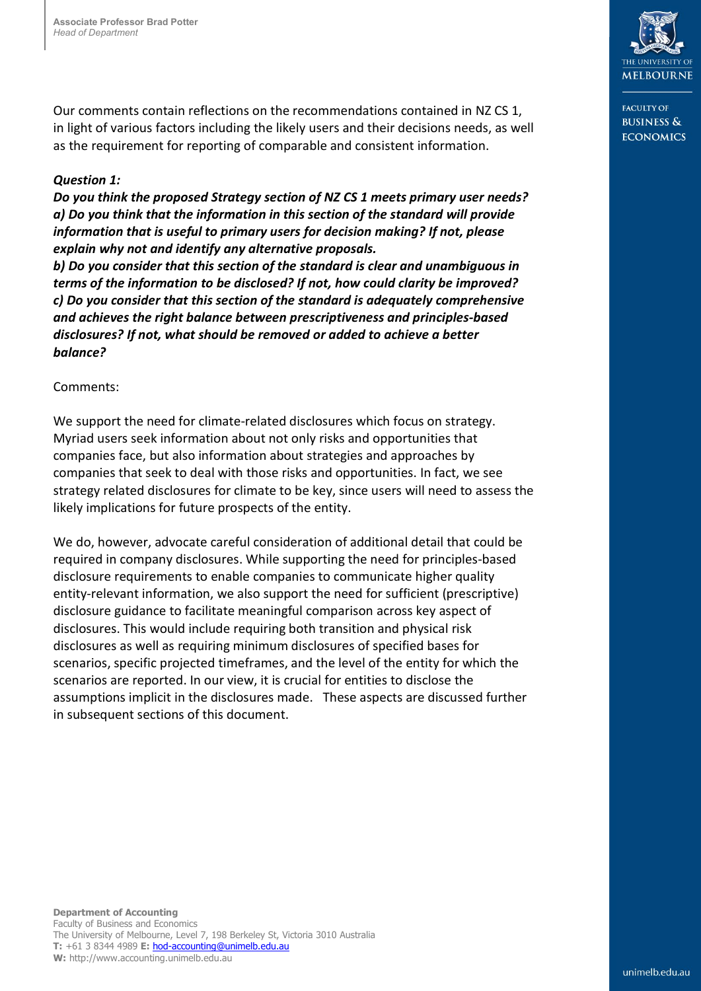Our comments contain reflections on the recommendations contained in NZ CS 1, in light of various factors including the likely users and their decisions needs, as well as the requirement for reporting of comparable and consistent information.

## *Question 1:*

*Do you think the proposed Strategy section of NZ CS 1 meets primary user needs? a) Do you think that the information in this section of the standard will provide information that is useful to primary users for decision making? If not, please explain why not and identify any alternative proposals.* 

*b) Do you consider that this section of the standard is clear and unambiguous in terms of the information to be disclosed? If not, how could clarity be improved? c) Do you consider that this section of the standard is adequately comprehensive and achieves the right balance between prescriptiveness and principles-based disclosures? If not, what should be removed or added to achieve a better balance?*

## Comments:

We support the need for climate-related disclosures which focus on strategy. Myriad users seek information about not only risks and opportunities that companies face, but also information about strategies and approaches by companies that seek to deal with those risks and opportunities. In fact, we see strategy related disclosures for climate to be key, since users will need to assess the likely implications for future prospects of the entity.

We do, however, advocate careful consideration of additional detail that could be required in company disclosures. While supporting the need for principles-based disclosure requirements to enable companies to communicate higher quality entity-relevant information, we also support the need for sufficient (prescriptive) disclosure guidance to facilitate meaningful comparison across key aspect of disclosures. This would include requiring both transition and physical risk disclosures as well as requiring minimum disclosures of specified bases for scenarios, specific projected timeframes, and the level of the entity for which the scenarios are reported. In our view, it is crucial for entities to disclose the assumptions implicit in the disclosures made. These aspects are discussed further in subsequent sections of this document.



EACHITY OF **BUSINESS & ECONOMICS**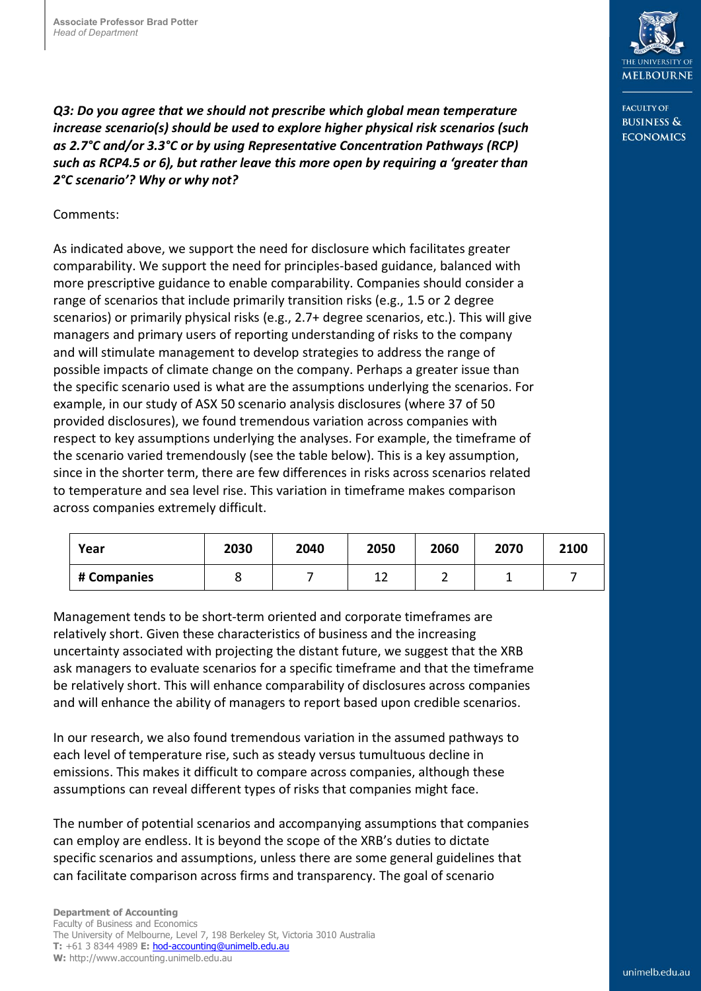*Q3: Do you agree that we should not prescribe which global mean temperature increase scenario(s) should be used to explore higher physical risk scenarios (such as 2.7°C and/or 3.3°C or by using Representative Concentration Pathways (RCP) such as RCP4.5 or 6), but rather leave this more open by requiring a 'greater than 2°C scenario'? Why or why not?*

## Comments:

As indicated above, we support the need for disclosure which facilitates greater comparability. We support the need for principles-based guidance, balanced with more prescriptive guidance to enable comparability. Companies should consider a range of scenarios that include primarily transition risks (e.g., 1.5 or 2 degree scenarios) or primarily physical risks (e.g., 2.7+ degree scenarios, etc.). This will give managers and primary users of reporting understanding of risks to the company and will stimulate management to develop strategies to address the range of possible impacts of climate change on the company. Perhaps a greater issue than the specific scenario used is what are the assumptions underlying the scenarios. For example, in our study of ASX 50 scenario analysis disclosures (where 37 of 50 provided disclosures), we found tremendous variation across companies with respect to key assumptions underlying the analyses. For example, the timeframe of the scenario varied tremendously (see the table below). This is a key assumption, since in the shorter term, there are few differences in risks across scenarios related to temperature and sea level rise. This variation in timeframe makes comparison across companies extremely difficult.

| Year        | 2030 | 2040 | 2050 | 2060 | 2070 | 2100 |
|-------------|------|------|------|------|------|------|
| # Companies |      |      |      |      |      |      |

Management tends to be short-term oriented and corporate timeframes are relatively short. Given these characteristics of business and the increasing uncertainty associated with projecting the distant future, we suggest that the XRB ask managers to evaluate scenarios for a specific timeframe and that the timeframe be relatively short. This will enhance comparability of disclosures across companies and will enhance the ability of managers to report based upon credible scenarios.

In our research, we also found tremendous variation in the assumed pathways to each level of temperature rise, such as steady versus tumultuous decline in emissions. This makes it difficult to compare across companies, although these assumptions can reveal different types of risks that companies might face.

The number of potential scenarios and accompanying assumptions that companies can employ are endless. It is beyond the scope of the XRB's duties to dictate specific scenarios and assumptions, unless there are some general guidelines that can facilitate comparison across firms and transparency. The goal of scenario



**FACULTY OF BUSINESS & ECONOMICS**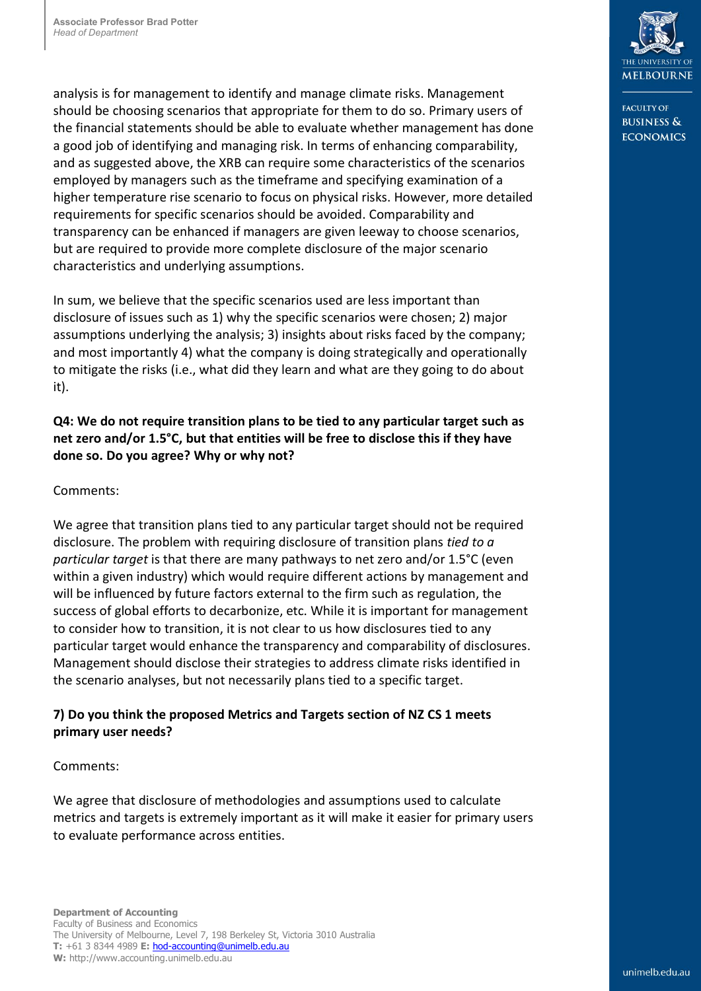analysis is for management to identify and manage climate risks. Management should be choosing scenarios that appropriate for them to do so. Primary users of the financial statements should be able to evaluate whether management has done a good job of identifying and managing risk. In terms of enhancing comparability, and as suggested above, the XRB can require some characteristics of the scenarios employed by managers such as the timeframe and specifying examination of a higher temperature rise scenario to focus on physical risks. However, more detailed requirements for specific scenarios should be avoided. Comparability and transparency can be enhanced if managers are given leeway to choose scenarios, but are required to provide more complete disclosure of the major scenario characteristics and underlying assumptions.

In sum, we believe that the specific scenarios used are less important than disclosure of issues such as 1) why the specific scenarios were chosen; 2) major assumptions underlying the analysis; 3) insights about risks faced by the company; and most importantly 4) what the company is doing strategically and operationally to mitigate the risks (i.e., what did they learn and what are they going to do about it).

# **Q4: We do not require transition plans to be tied to any particular target such as net zero and/or 1.5°C, but that entities will be free to disclose this if they have done so. Do you agree? Why or why not?**

# Comments:

We agree that transition plans tied to any particular target should not be required disclosure. The problem with requiring disclosure of transition plans *tied to a particular target* is that there are many pathways to net zero and/or 1.5°C (even within a given industry) which would require different actions by management and will be influenced by future factors external to the firm such as regulation, the success of global efforts to decarbonize, etc. While it is important for management to consider how to transition, it is not clear to us how disclosures tied to any particular target would enhance the transparency and comparability of disclosures. Management should disclose their strategies to address climate risks identified in the scenario analyses, but not necessarily plans tied to a specific target.

# **7) Do you think the proposed Metrics and Targets section of NZ CS 1 meets primary user needs?**

## Comments:

We agree that disclosure of methodologies and assumptions used to calculate metrics and targets is extremely important as it will make it easier for primary users to evaluate performance across entities.



**FACULTY OF BUSINESS & ECONOMICS**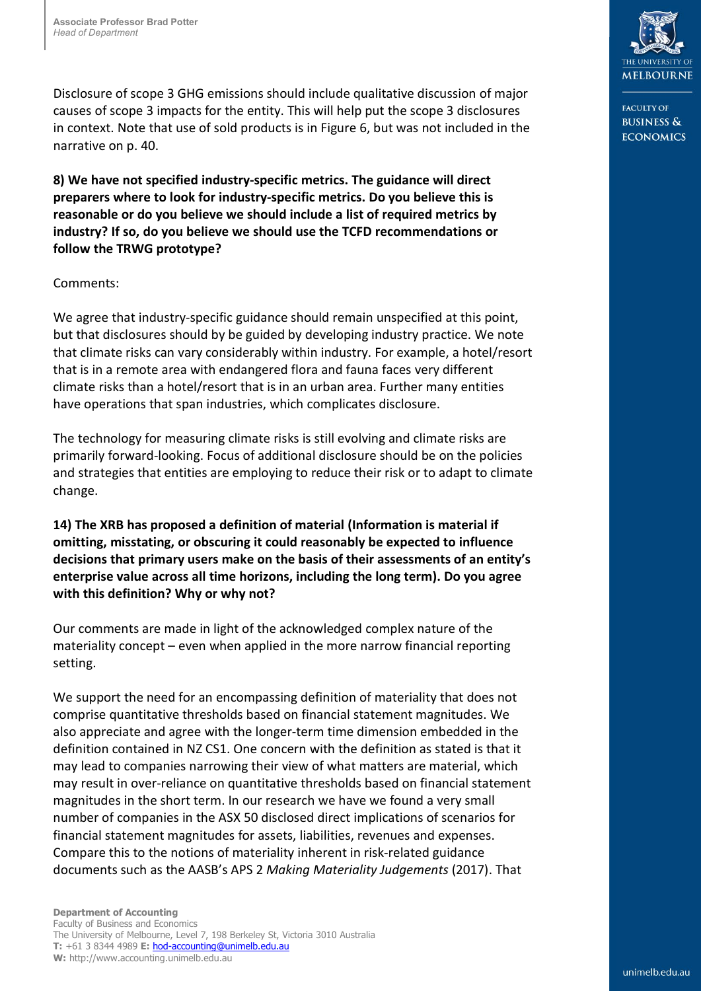Disclosure of scope 3 GHG emissions should include qualitative discussion of major causes of scope 3 impacts for the entity. This will help put the scope 3 disclosures in context. Note that use of sold products is in Figure 6, but was not included in the narrative on p. 40.

**8) We have not specified industry-specific metrics. The guidance will direct preparers where to look for industry-specific metrics. Do you believe this is reasonable or do you believe we should include a list of required metrics by industry? If so, do you believe we should use the TCFD recommendations or follow the TRWG prototype?**

#### Comments:

We agree that industry-specific guidance should remain unspecified at this point, but that disclosures should by be guided by developing industry practice. We note that climate risks can vary considerably within industry. For example, a hotel/resort that is in a remote area with endangered flora and fauna faces very different climate risks than a hotel/resort that is in an urban area. Further many entities have operations that span industries, which complicates disclosure.

The technology for measuring climate risks is still evolving and climate risks are primarily forward-looking. Focus of additional disclosure should be on the policies and strategies that entities are employing to reduce their risk or to adapt to climate change.

**14) The XRB has proposed a definition of material (Information is material if omitting, misstating, or obscuring it could reasonably be expected to influence decisions that primary users make on the basis of their assessments of an entity's enterprise value across all time horizons, including the long term). Do you agree with this definition? Why or why not?**

Our comments are made in light of the acknowledged complex nature of the materiality concept – even when applied in the more narrow financial reporting setting.

We support the need for an encompassing definition of materiality that does not comprise quantitative thresholds based on financial statement magnitudes. We also appreciate and agree with the longer-term time dimension embedded in the definition contained in NZ CS1. One concern with the definition as stated is that it may lead to companies narrowing their view of what matters are material, which may result in over-reliance on quantitative thresholds based on financial statement magnitudes in the short term. In our research we have we found a very small number of companies in the ASX 50 disclosed direct implications of scenarios for financial statement magnitudes for assets, liabilities, revenues and expenses. Compare this to the notions of materiality inherent in risk-related guidance documents such as the AASB's APS 2 *Making Materiality Judgements* (2017). That



EACHITY OF **BUSINESS & ECONOMICS**